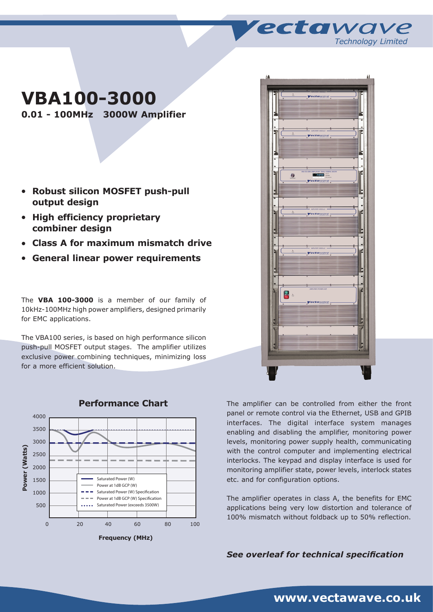# **VBA100-3000**

**0.01 - 100MHz 3000W Amplifier**

- <sup>l</sup> **Robust silicon MOSFET push-pull output design**
- **High efficiency proprietary combiner design**
- <sup>l</sup> **Class A for maximum mismatch drive**
- <sup>l</sup> **General linear power requirements**

The **VBA 100-3000** is a member of our family of 10kHz-100MHz high power amplifiers, designed primarily for EMC applications.

The VBA100 series, is based on high performance silicon push-pull MOSFET output stages. The amplifier utilizes exclusive power combining techniques, minimizing loss for a more efficient solution.



**Performance Chart**



*Technology Limited*

ectawave

The amplifier can be controlled from either the front panel or remote control via the Ethernet, USB and GPIB interfaces. The digital interface system manages enabling and disabling the amplifier, monitoring power levels, monitoring power supply health, communicating with the control computer and implementing electrical interlocks. The keypad and display interface is used for monitoring amplifier state, power levels, interlock states etc. and for configuration options.

The amplifier operates in class A, the benefits for EMC applications being very low distortion and tolerance of 100% mismatch without foldback up to 50% reflection.

*See overleaf for technical specification*